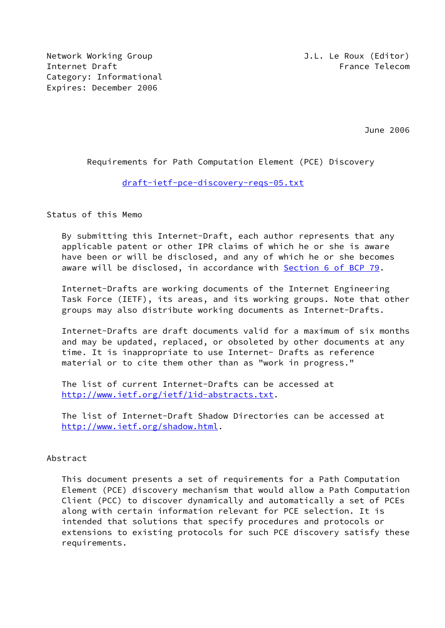Network Working Group J.L. Le Roux (Editor) Internet Draft France Telecom Category: Informational Expires: December 2006

June 2006

# Requirements for Path Computation Element (PCE) Discovery

# [draft-ietf-pce-discovery-reqs-05.txt](https://datatracker.ietf.org/doc/pdf/draft-ietf-pce-discovery-reqs-05.txt)

Status of this Memo

 By submitting this Internet-Draft, each author represents that any applicable patent or other IPR claims of which he or she is aware have been or will be disclosed, and any of which he or she becomes aware will be disclosed, in accordance with Section [6 of BCP 79.](https://datatracker.ietf.org/doc/pdf/bcp79#section-6)

 Internet-Drafts are working documents of the Internet Engineering Task Force (IETF), its areas, and its working groups. Note that other groups may also distribute working documents as Internet-Drafts.

 Internet-Drafts are draft documents valid for a maximum of six months and may be updated, replaced, or obsoleted by other documents at any time. It is inappropriate to use Internet- Drafts as reference material or to cite them other than as "work in progress."

 The list of current Internet-Drafts can be accessed at <http://www.ietf.org/ietf/1id-abstracts.txt>.

 The list of Internet-Draft Shadow Directories can be accessed at <http://www.ietf.org/shadow.html>.

# Abstract

 This document presents a set of requirements for a Path Computation Element (PCE) discovery mechanism that would allow a Path Computation Client (PCC) to discover dynamically and automatically a set of PCEs along with certain information relevant for PCE selection. It is intended that solutions that specify procedures and protocols or extensions to existing protocols for such PCE discovery satisfy these requirements.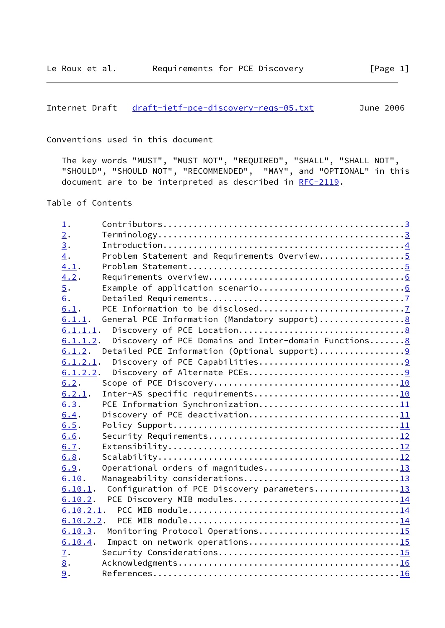Internet Draft [draft-ietf-pce-discovery-reqs-05.txt](https://datatracker.ietf.org/doc/pdf/draft-ietf-pce-discovery-reqs-05.txt) June 2006

Conventions used in this document

 The key words "MUST", "MUST NOT", "REQUIRED", "SHALL", "SHALL NOT", "SHOULD", "SHOULD NOT", "RECOMMENDED", "MAY", and "OPTIONAL" in this document are to be interpreted as described in <u>RFC-2119</u>.

Table of Contents

| $\perp$ . |                                                       |  |
|-----------|-------------------------------------------------------|--|
| 2.        |                                                       |  |
| 3.        |                                                       |  |
| 4.        | Problem Statement and Requirements Overview5          |  |
| 4.1.      |                                                       |  |
| 4.2.      |                                                       |  |
| 5.        |                                                       |  |
| 6.        |                                                       |  |
| 6.1.      |                                                       |  |
| 6.1.1.    |                                                       |  |
|           |                                                       |  |
| 6.1.1.2.  | Discovery of PCE Domains and Inter-domain Functions 8 |  |
|           | $6.1.2$ . Detailed PCE Information (Optional support) |  |
|           |                                                       |  |
| 6.1.2.2.  |                                                       |  |
| 6.2.      |                                                       |  |
| 6.2.1.    | Inter-AS specific requirements10                      |  |
| 6.3.      | PCE Information Synchronization11                     |  |
| 6.4.      | Discovery of PCE deactivation11                       |  |
| 6.5.      |                                                       |  |
| 6.6.      |                                                       |  |
| 6.7.      |                                                       |  |
| 6.8.      |                                                       |  |
| 6.9.      | Operational orders of magnitudes13                    |  |
| 6.10.     |                                                       |  |
| 6.10.1.   | Configuration of PCE Discovery parameters13           |  |
| 6.10.2.   |                                                       |  |
| 6.10.2.1. |                                                       |  |
|           |                                                       |  |
| 6.10.3.   | Monitoring Protocol Operations15                      |  |
| 6.10.4.   | Impact on network operations15                        |  |
| 7.        |                                                       |  |
| 8.        |                                                       |  |
| 9.        |                                                       |  |
|           |                                                       |  |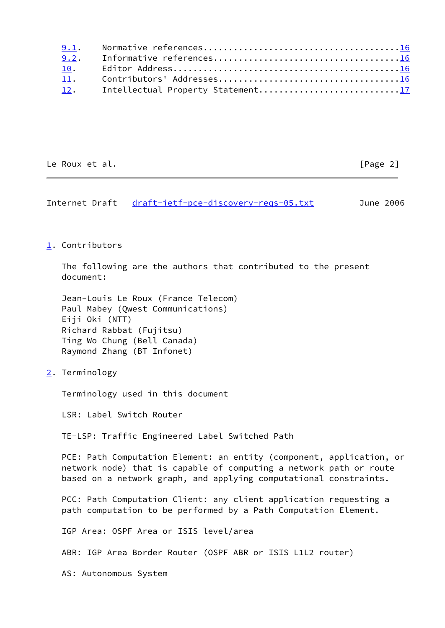| 9.1. |                                   |
|------|-----------------------------------|
| 9.2. |                                   |
| 10.  |                                   |
| 11.  |                                   |
| 12.  | Intellectual Property Statement17 |

Le Roux et al. [Page 2]

<span id="page-2-1"></span>Internet Draft [draft-ietf-pce-discovery-reqs-05.txt](https://datatracker.ietf.org/doc/pdf/draft-ietf-pce-discovery-reqs-05.txt) June 2006

## <span id="page-2-0"></span>[1](#page-2-0). Contributors

 The following are the authors that contributed to the present document:

```
 Jean-Louis Le Roux (France Telecom)
 Paul Mabey (Qwest Communications)
 Eiji Oki (NTT)
 Richard Rabbat (Fujitsu)
 Ting Wo Chung (Bell Canada)
 Raymond Zhang (BT Infonet)
```
<span id="page-2-2"></span>[2](#page-2-2). Terminology

Terminology used in this document

LSR: Label Switch Router

TE-LSP: Traffic Engineered Label Switched Path

 PCE: Path Computation Element: an entity (component, application, or network node) that is capable of computing a network path or route based on a network graph, and applying computational constraints.

 PCC: Path Computation Client: any client application requesting a path computation to be performed by a Path Computation Element.

IGP Area: OSPF Area or ISIS level/area

ABR: IGP Area Border Router (OSPF ABR or ISIS L1L2 router)

AS: Autonomous System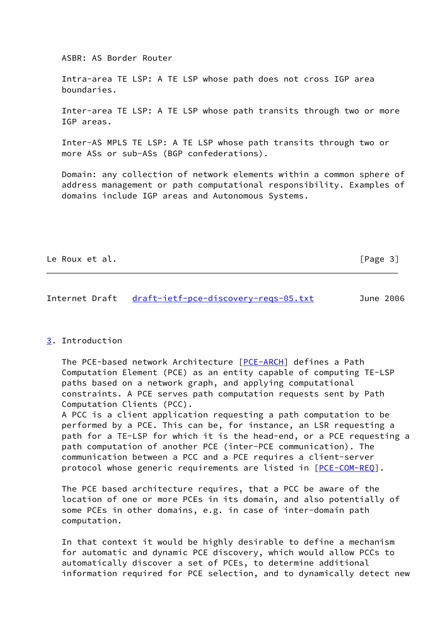ASBR: AS Border Router

 Intra-area TE LSP: A TE LSP whose path does not cross IGP area boundaries.

 Inter-area TE LSP: A TE LSP whose path transits through two or more IGP areas.

 Inter-AS MPLS TE LSP: A TE LSP whose path transits through two or more ASs or sub-ASs (BGP confederations).

 Domain: any collection of network elements within a common sphere of address management or path computational responsibility. Examples of domains include IGP areas and Autonomous Systems.

| Le Roux et al. | [Page 3] |
|----------------|----------|
|----------------|----------|

```
Internet Draft draft-ietf-pce-discovery-regs-05.txt June 2006
```
#### <span id="page-3-0"></span>[3](#page-3-0). Introduction

 The PCE-based network Architecture [[PCE-ARCH\]](#page-18-4) defines a Path Computation Element (PCE) as an entity capable of computing TE-LSP paths based on a network graph, and applying computational constraints. A PCE serves path computation requests sent by Path Computation Clients (PCC).

 A PCC is a client application requesting a path computation to be performed by a PCE. This can be, for instance, an LSR requesting a path for a TE-LSP for which it is the head-end, or a PCE requesting a path computation of another PCE (inter-PCE communication). The communication between a PCC and a PCE requires a client-server protocol whose generic requirements are listed in [[PCE-COM-REQ](#page-18-5)].

 The PCE based architecture requires, that a PCC be aware of the location of one or more PCEs in its domain, and also potentially of some PCEs in other domains, e.g. in case of inter-domain path computation.

 In that context it would be highly desirable to define a mechanism for automatic and dynamic PCE discovery, which would allow PCCs to automatically discover a set of PCEs, to determine additional information required for PCE selection, and to dynamically detect new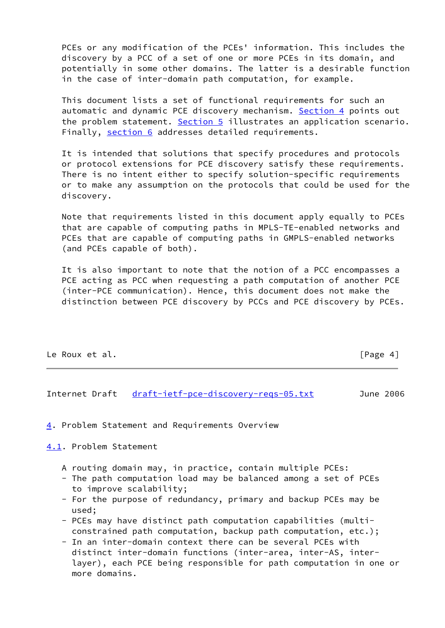PCEs or any modification of the PCEs' information. This includes the discovery by a PCC of a set of one or more PCEs in its domain, and potentially in some other domains. The latter is a desirable function in the case of inter-domain path computation, for example.

 This document lists a set of functional requirements for such an automatic and dynamic PCE discovery mechanism. [Section 4](#page-4-0) points out the problem statement. [Section 5](#page-6-0) illustrates an application scenario. Finally, [section 6](#page-7-0) addresses detailed requirements.

 It is intended that solutions that specify procedures and protocols or protocol extensions for PCE discovery satisfy these requirements. There is no intent either to specify solution-specific requirements or to make any assumption on the protocols that could be used for the discovery.

 Note that requirements listed in this document apply equally to PCEs that are capable of computing paths in MPLS-TE-enabled networks and PCEs that are capable of computing paths in GMPLS-enabled networks (and PCEs capable of both).

 It is also important to note that the notion of a PCC encompasses a PCE acting as PCC when requesting a path computation of another PCE (inter-PCE communication). Hence, this document does not make the distinction between PCE discovery by PCCs and PCE discovery by PCEs.

| Le Roux et al. | [Page 4] |
|----------------|----------|
|----------------|----------|

<span id="page-4-1"></span>Internet Draft [draft-ietf-pce-discovery-reqs-05.txt](https://datatracker.ietf.org/doc/pdf/draft-ietf-pce-discovery-reqs-05.txt) June 2006

<span id="page-4-0"></span>[4](#page-4-0). Problem Statement and Requirements Overview

<span id="page-4-2"></span>[4.1](#page-4-2). Problem Statement

- A routing domain may, in practice, contain multiple PCEs:
- The path computation load may be balanced among a set of PCEs to improve scalability;
- For the purpose of redundancy, primary and backup PCEs may be used;
- PCEs may have distinct path computation capabilities (multi constrained path computation, backup path computation, etc.);
- In an inter-domain context there can be several PCEs with distinct inter-domain functions (inter-area, inter-AS, inter layer), each PCE being responsible for path computation in one or more domains.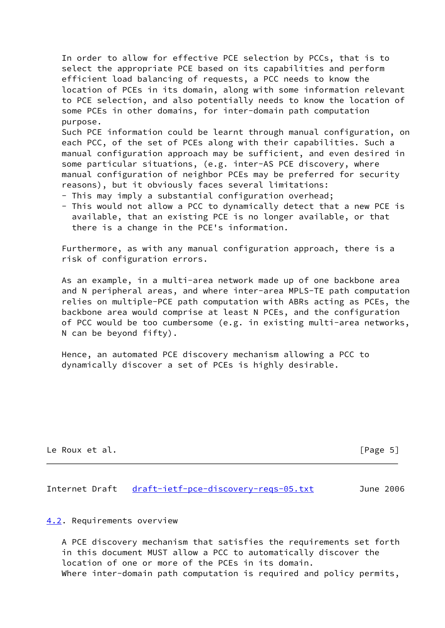In order to allow for effective PCE selection by PCCs, that is to select the appropriate PCE based on its capabilities and perform efficient load balancing of requests, a PCC needs to know the location of PCEs in its domain, along with some information relevant to PCE selection, and also potentially needs to know the location of some PCEs in other domains, for inter-domain path computation purpose. Such PCE information could be learnt through manual configuration, on

 each PCC, of the set of PCEs along with their capabilities. Such a manual configuration approach may be sufficient, and even desired in some particular situations, (e.g. inter-AS PCE discovery, where manual configuration of neighbor PCEs may be preferred for security reasons), but it obviously faces several limitations:

- This may imply a substantial configuration overhead;
- This would not allow a PCC to dynamically detect that a new PCE is available, that an existing PCE is no longer available, or that there is a change in the PCE's information.

 Furthermore, as with any manual configuration approach, there is a risk of configuration errors.

 As an example, in a multi-area network made up of one backbone area and N peripheral areas, and where inter-area MPLS-TE path computation relies on multiple-PCE path computation with ABRs acting as PCEs, the backbone area would comprise at least N PCEs, and the configuration of PCC would be too cumbersome (e.g. in existing multi-area networks, N can be beyond fifty).

 Hence, an automated PCE discovery mechanism allowing a PCC to dynamically discover a set of PCEs is highly desirable.

Le Roux et al. [Page 5]

<span id="page-5-1"></span>Internet Draft [draft-ietf-pce-discovery-reqs-05.txt](https://datatracker.ietf.org/doc/pdf/draft-ietf-pce-discovery-reqs-05.txt) June 2006

#### <span id="page-5-0"></span>[4.2](#page-5-0). Requirements overview

 A PCE discovery mechanism that satisfies the requirements set forth in this document MUST allow a PCC to automatically discover the location of one or more of the PCEs in its domain. Where inter-domain path computation is required and policy permits,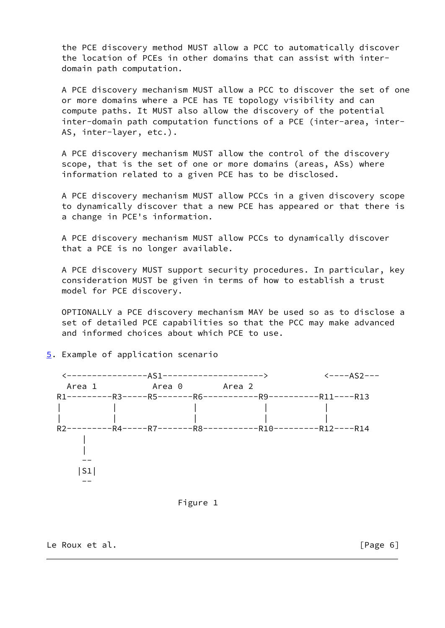the PCE discovery method MUST allow a PCC to automatically discover the location of PCEs in other domains that can assist with inter domain path computation.

 A PCE discovery mechanism MUST allow a PCC to discover the set of one or more domains where a PCE has TE topology visibility and can compute paths. It MUST also allow the discovery of the potential inter-domain path computation functions of a PCE (inter-area, inter- AS, inter-layer, etc.).

 A PCE discovery mechanism MUST allow the control of the discovery scope, that is the set of one or more domains (areas, ASs) where information related to a given PCE has to be disclosed.

 A PCE discovery mechanism MUST allow PCCs in a given discovery scope to dynamically discover that a new PCE has appeared or that there is a change in PCE's information.

 A PCE discovery mechanism MUST allow PCCs to dynamically discover that a PCE is no longer available.

 A PCE discovery MUST support security procedures. In particular, key consideration MUST be given in terms of how to establish a trust model for PCE discovery.

 OPTIONALLY a PCE discovery mechanism MAY be used so as to disclose a set of detailed PCE capabilities so that the PCC may make advanced and informed choices about which PCE to use.



# <span id="page-6-0"></span>[5](#page-6-0). Example of application scenario

## Figure 1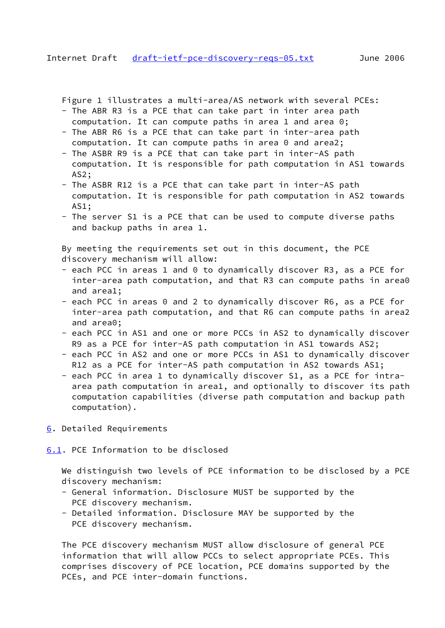<span id="page-7-1"></span>Figure 1 illustrates a multi-area/AS network with several PCEs:

- The ABR R3 is a PCE that can take part in inter area path
- computation. It can compute paths in area 1 and area 0;
- The ABR R6 is a PCE that can take part in inter-area path computation. It can compute paths in area 0 and area2;
- The ASBR R9 is a PCE that can take part in inter-AS path computation. It is responsible for path computation in AS1 towards AS2;
- The ASBR R12 is a PCE that can take part in inter-AS path computation. It is responsible for path computation in AS2 towards AS1;
- The server S1 is a PCE that can be used to compute diverse paths and backup paths in area 1.

 By meeting the requirements set out in this document, the PCE discovery mechanism will allow:

- each PCC in areas 1 and 0 to dynamically discover R3, as a PCE for inter-area path computation, and that R3 can compute paths in area0 and area1;
- each PCC in areas 0 and 2 to dynamically discover R6, as a PCE for inter-area path computation, and that R6 can compute paths in area2 and area0;
- each PCC in AS1 and one or more PCCs in AS2 to dynamically discover R9 as a PCE for inter-AS path computation in AS1 towards AS2;
- each PCC in AS2 and one or more PCCs in AS1 to dynamically discover R12 as a PCE for inter-AS path computation in AS2 towards AS1;
- each PCC in area 1 to dynamically discover S1, as a PCE for intra area path computation in area1, and optionally to discover its path computation capabilities (diverse path computation and backup path computation).
- <span id="page-7-0"></span>[6](#page-7-0). Detailed Requirements

<span id="page-7-2"></span>[6.1](#page-7-2). PCE Information to be disclosed

 We distinguish two levels of PCE information to be disclosed by a PCE discovery mechanism:

- General information. Disclosure MUST be supported by the PCE discovery mechanism.
- Detailed information. Disclosure MAY be supported by the PCE discovery mechanism.

 The PCE discovery mechanism MUST allow disclosure of general PCE information that will allow PCCs to select appropriate PCEs. This comprises discovery of PCE location, PCE domains supported by the PCEs, and PCE inter-domain functions.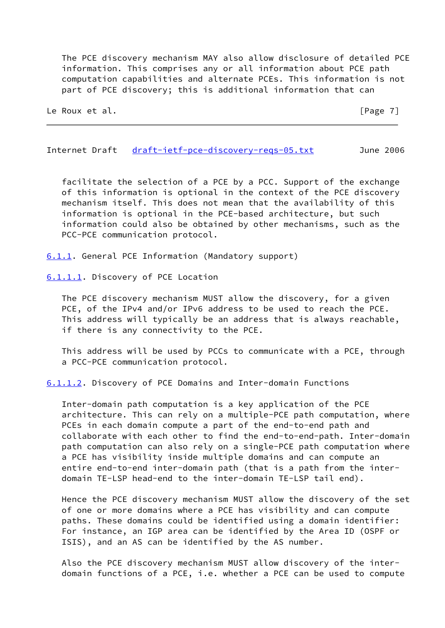The PCE discovery mechanism MAY also allow disclosure of detailed PCE information. This comprises any or all information about PCE path computation capabilities and alternate PCEs. This information is not part of PCE discovery; this is additional information that can

Le Roux et al. **Example 20** and the contract of the contract of  $\left[\text{Page 7}\right]$ 

<span id="page-8-1"></span>Internet Draft [draft-ietf-pce-discovery-reqs-05.txt](https://datatracker.ietf.org/doc/pdf/draft-ietf-pce-discovery-reqs-05.txt) June 2006

 facilitate the selection of a PCE by a PCC. Support of the exchange of this information is optional in the context of the PCE discovery mechanism itself. This does not mean that the availability of this information is optional in the PCE-based architecture, but such information could also be obtained by other mechanisms, such as the PCC-PCE communication protocol.

<span id="page-8-0"></span>[6.1.1](#page-8-0). General PCE Information (Mandatory support)

<span id="page-8-2"></span>[6.1.1.1](#page-8-2). Discovery of PCE Location

 The PCE discovery mechanism MUST allow the discovery, for a given PCE, of the IPv4 and/or IPv6 address to be used to reach the PCE. This address will typically be an address that is always reachable, if there is any connectivity to the PCE.

 This address will be used by PCCs to communicate with a PCE, through a PCC-PCE communication protocol.

<span id="page-8-3"></span>[6.1.1.2](#page-8-3). Discovery of PCE Domains and Inter-domain Functions

 Inter-domain path computation is a key application of the PCE architecture. This can rely on a multiple-PCE path computation, where PCEs in each domain compute a part of the end-to-end path and collaborate with each other to find the end-to-end-path. Inter-domain path computation can also rely on a single-PCE path computation where a PCE has visibility inside multiple domains and can compute an entire end-to-end inter-domain path (that is a path from the inter domain TE-LSP head-end to the inter-domain TE-LSP tail end).

 Hence the PCE discovery mechanism MUST allow the discovery of the set of one or more domains where a PCE has visibility and can compute paths. These domains could be identified using a domain identifier: For instance, an IGP area can be identified by the Area ID (OSPF or ISIS), and an AS can be identified by the AS number.

 Also the PCE discovery mechanism MUST allow discovery of the inter domain functions of a PCE, i.e. whether a PCE can be used to compute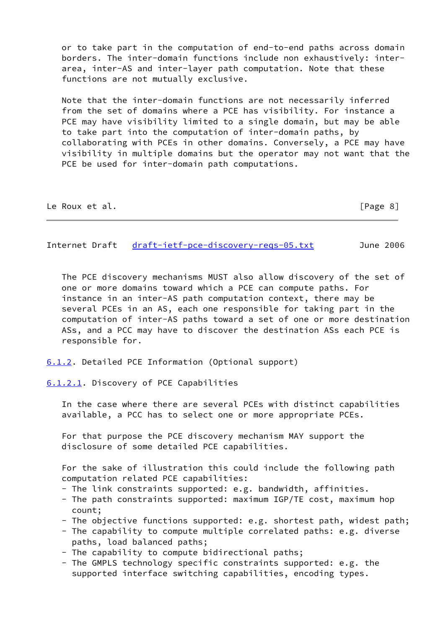or to take part in the computation of end-to-end paths across domain borders. The inter-domain functions include non exhaustively: inter area, inter-AS and inter-layer path computation. Note that these functions are not mutually exclusive.

 Note that the inter-domain functions are not necessarily inferred from the set of domains where a PCE has visibility. For instance a PCE may have visibility limited to a single domain, but may be able to take part into the computation of inter-domain paths, by collaborating with PCEs in other domains. Conversely, a PCE may have visibility in multiple domains but the operator may not want that the PCE be used for inter-domain path computations.

| Le Roux et al. | [Page 8] |
|----------------|----------|
|----------------|----------|

<span id="page-9-1"></span>Internet Draft [draft-ietf-pce-discovery-reqs-05.txt](https://datatracker.ietf.org/doc/pdf/draft-ietf-pce-discovery-reqs-05.txt) June 2006

 The PCE discovery mechanisms MUST also allow discovery of the set of one or more domains toward which a PCE can compute paths. For instance in an inter-AS path computation context, there may be several PCEs in an AS, each one responsible for taking part in the computation of inter-AS paths toward a set of one or more destination ASs, and a PCC may have to discover the destination ASs each PCE is responsible for.

<span id="page-9-0"></span>[6.1.2](#page-9-0). Detailed PCE Information (Optional support)

<span id="page-9-2"></span>[6.1.2.1](#page-9-2). Discovery of PCE Capabilities

 In the case where there are several PCEs with distinct capabilities available, a PCC has to select one or more appropriate PCEs.

 For that purpose the PCE discovery mechanism MAY support the disclosure of some detailed PCE capabilities.

 For the sake of illustration this could include the following path computation related PCE capabilities:

- The link constraints supported: e.g. bandwidth, affinities.
- The path constraints supported: maximum IGP/TE cost, maximum hop count;
- The objective functions supported: e.g. shortest path, widest path;
- The capability to compute multiple correlated paths: e.g. diverse paths, load balanced paths;
- The capability to compute bidirectional paths;
- The GMPLS technology specific constraints supported: e.g. the supported interface switching capabilities, encoding types.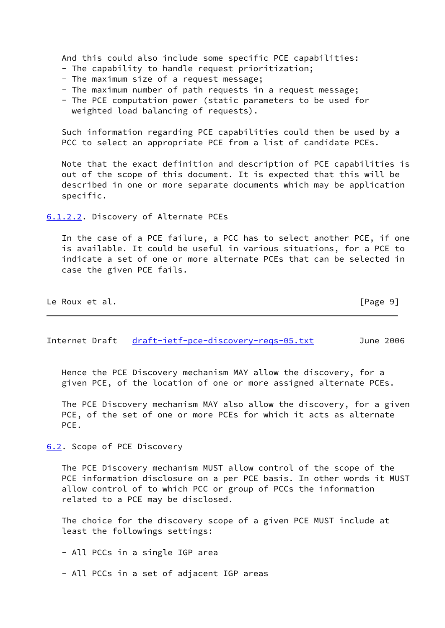And this could also include some specific PCE capabilities:

- The capability to handle request prioritization;
- The maximum size of a request message;
- The maximum number of path requests in a request message;
- The PCE computation power (static parameters to be used for weighted load balancing of requests).

 Such information regarding PCE capabilities could then be used by a PCC to select an appropriate PCE from a list of candidate PCEs.

 Note that the exact definition and description of PCE capabilities is out of the scope of this document. It is expected that this will be described in one or more separate documents which may be application specific.

<span id="page-10-0"></span>[6.1.2.2](#page-10-0). Discovery of Alternate PCEs

 In the case of a PCE failure, a PCC has to select another PCE, if one is available. It could be useful in various situations, for a PCE to indicate a set of one or more alternate PCEs that can be selected in case the given PCE fails.

| Le Roux et al. |  | [Page 9] |
|----------------|--|----------|
|                |  |          |

<span id="page-10-2"></span>Internet Draft draft-ietf-pce-discovery-regs-05.txt June 2006

 Hence the PCE Discovery mechanism MAY allow the discovery, for a given PCE, of the location of one or more assigned alternate PCEs.

 The PCE Discovery mechanism MAY also allow the discovery, for a given PCE, of the set of one or more PCEs for which it acts as alternate PCE.

<span id="page-10-1"></span>[6.2](#page-10-1). Scope of PCE Discovery

 The PCE Discovery mechanism MUST allow control of the scope of the PCE information disclosure on a per PCE basis. In other words it MUST allow control of to which PCC or group of PCCs the information related to a PCE may be disclosed.

 The choice for the discovery scope of a given PCE MUST include at least the followings settings:

- All PCCs in a single IGP area

- All PCCs in a set of adjacent IGP areas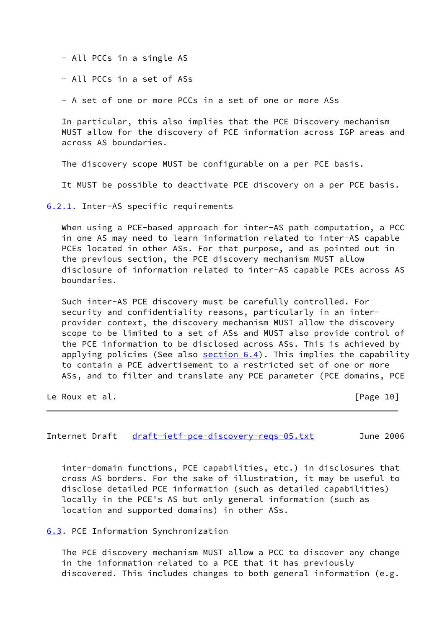- All PCCs in a single AS

- All PCCs in a set of ASs

- A set of one or more PCCs in a set of one or more ASs

 In particular, this also implies that the PCE Discovery mechanism MUST allow for the discovery of PCE information across IGP areas and across AS boundaries.

The discovery scope MUST be configurable on a per PCE basis.

It MUST be possible to deactivate PCE discovery on a per PCE basis.

<span id="page-11-0"></span>[6.2.1](#page-11-0). Inter-AS specific requirements

When using a PCE-based approach for inter-AS path computation, a PCC in one AS may need to learn information related to inter-AS capable PCEs located in other ASs. For that purpose, and as pointed out in the previous section, the PCE discovery mechanism MUST allow disclosure of information related to inter-AS capable PCEs across AS boundaries.

 Such inter-AS PCE discovery must be carefully controlled. For security and confidentiality reasons, particularly in an inter provider context, the discovery mechanism MUST allow the discovery scope to be limited to a set of ASs and MUST also provide control of the PCE information to be disclosed across ASs. This is achieved by applying policies (See also  $section 6.4$ ). This implies the capability to contain a PCE advertisement to a restricted set of one or more ASs, and to filter and translate any PCE parameter (PCE domains, PCE

Le Roux et al. **Example 20** and the contract of the contract of  $[Page 10]$ 

<span id="page-11-2"></span>Internet Draft draft-ietf-pce-discovery-regs-05.txt June 2006

 inter-domain functions, PCE capabilities, etc.) in disclosures that cross AS borders. For the sake of illustration, it may be useful to disclose detailed PCE information (such as detailed capabilities) locally in the PCE's AS but only general information (such as location and supported domains) in other ASs.

<span id="page-11-1"></span>[6.3](#page-11-1). PCE Information Synchronization

 The PCE discovery mechanism MUST allow a PCC to discover any change in the information related to a PCE that it has previously discovered. This includes changes to both general information (e.g.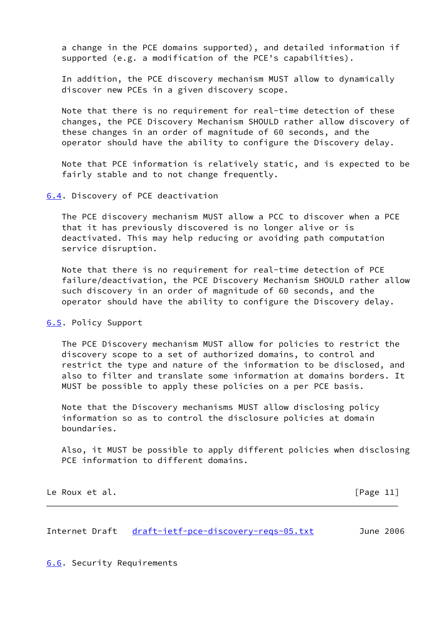a change in the PCE domains supported), and detailed information if supported (e.g. a modification of the PCE's capabilities).

 In addition, the PCE discovery mechanism MUST allow to dynamically discover new PCEs in a given discovery scope.

 Note that there is no requirement for real-time detection of these changes, the PCE Discovery Mechanism SHOULD rather allow discovery of these changes in an order of magnitude of 60 seconds, and the operator should have the ability to configure the Discovery delay.

 Note that PCE information is relatively static, and is expected to be fairly stable and to not change frequently.

<span id="page-12-0"></span>[6.4](#page-12-0). Discovery of PCE deactivation

 The PCE discovery mechanism MUST allow a PCC to discover when a PCE that it has previously discovered is no longer alive or is deactivated. This may help reducing or avoiding path computation service disruption.

 Note that there is no requirement for real-time detection of PCE failure/deactivation, the PCE Discovery Mechanism SHOULD rather allow such discovery in an order of magnitude of 60 seconds, and the operator should have the ability to configure the Discovery delay.

#### <span id="page-12-1"></span>[6.5](#page-12-1). Policy Support

 The PCE Discovery mechanism MUST allow for policies to restrict the discovery scope to a set of authorized domains, to control and restrict the type and nature of the information to be disclosed, and also to filter and translate some information at domains borders. It MUST be possible to apply these policies on a per PCE basis.

 Note that the Discovery mechanisms MUST allow disclosing policy information so as to control the disclosure policies at domain boundaries.

 Also, it MUST be possible to apply different policies when disclosing PCE information to different domains.

Le Roux et al. **Example 20** and 20 and 20 and 20 and 20 and 20 and 20 and 20 and 20 and 20 and 20 and 20 and 20 and 20 and 20 and 20 and 20 and 20 and 20 and 20 and 20 and 20 and 20 and 20 and 20 and 20 and 20 and 20 and 2

<span id="page-12-3"></span>Internet Draft draft-ietf-pce-discovery-regs-05.txt June 2006

<span id="page-12-2"></span>[6.6](#page-12-2). Security Requirements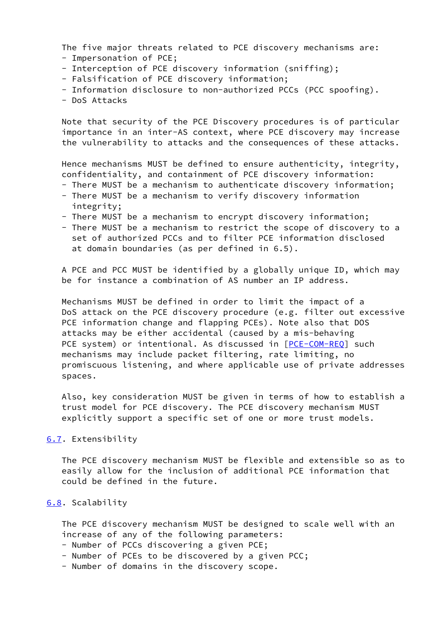The five major threats related to PCE discovery mechanisms are: - Impersonation of PCE;

- 
- Interception of PCE discovery information (sniffing);
- Falsification of PCE discovery information;
- Information disclosure to non-authorized PCCs (PCC spoofing).
- DoS Attacks

 Note that security of the PCE Discovery procedures is of particular importance in an inter-AS context, where PCE discovery may increase the vulnerability to attacks and the consequences of these attacks.

 Hence mechanisms MUST be defined to ensure authenticity, integrity, confidentiality, and containment of PCE discovery information:

- There MUST be a mechanism to authenticate discovery information;
- There MUST be a mechanism to verify discovery information integrity;
- There MUST be a mechanism to encrypt discovery information;
- There MUST be a mechanism to restrict the scope of discovery to a set of authorized PCCs and to filter PCE information disclosed at domain boundaries (as per defined in 6.5).

 A PCE and PCC MUST be identified by a globally unique ID, which may be for instance a combination of AS number an IP address.

 Mechanisms MUST be defined in order to limit the impact of a DoS attack on the PCE discovery procedure (e.g. filter out excessive PCE information change and flapping PCEs). Note also that DOS attacks may be either accidental (caused by a mis-behaving PCE system) or intentional. As discussed in [\[PCE-COM-REQ](#page-18-5)] such mechanisms may include packet filtering, rate limiting, no promiscuous listening, and where applicable use of private addresses spaces.

 Also, key consideration MUST be given in terms of how to establish a trust model for PCE discovery. The PCE discovery mechanism MUST explicitly support a specific set of one or more trust models.

## <span id="page-13-0"></span>[6.7](#page-13-0). Extensibility

 The PCE discovery mechanism MUST be flexible and extensible so as to easily allow for the inclusion of additional PCE information that could be defined in the future.

# <span id="page-13-1"></span>[6.8](#page-13-1). Scalability

 The PCE discovery mechanism MUST be designed to scale well with an increase of any of the following parameters:

- Number of PCCs discovering a given PCE;
- Number of PCEs to be discovered by a given PCC;
- Number of domains in the discovery scope.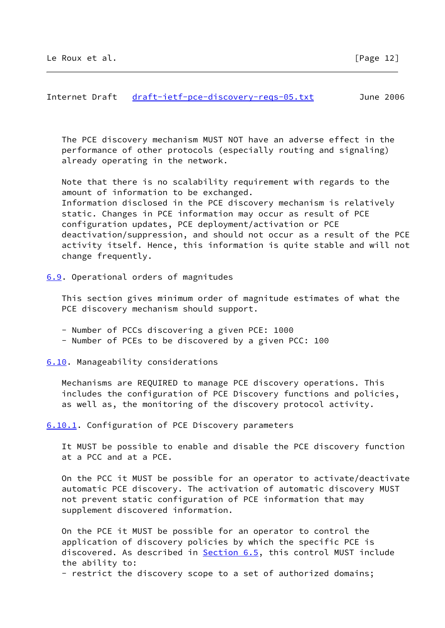<span id="page-14-1"></span> The PCE discovery mechanism MUST NOT have an adverse effect in the performance of other protocols (especially routing and signaling) already operating in the network.

 Note that there is no scalability requirement with regards to the amount of information to be exchanged. Information disclosed in the PCE discovery mechanism is relatively static. Changes in PCE information may occur as result of PCE configuration updates, PCE deployment/activation or PCE deactivation/suppression, and should not occur as a result of the PCE activity itself. Hence, this information is quite stable and will not change frequently.

<span id="page-14-0"></span>[6.9](#page-14-0). Operational orders of magnitudes

 This section gives minimum order of magnitude estimates of what the PCE discovery mechanism should support.

- Number of PCCs discovering a given PCE: 1000
- Number of PCEs to be discovered by a given PCC: 100

<span id="page-14-2"></span>[6.10](#page-14-2). Manageability considerations

 Mechanisms are REQUIRED to manage PCE discovery operations. This includes the configuration of PCE Discovery functions and policies, as well as, the monitoring of the discovery protocol activity.

<span id="page-14-3"></span>[6.10.1](#page-14-3). Configuration of PCE Discovery parameters

 It MUST be possible to enable and disable the PCE discovery function at a PCC and at a PCE.

 On the PCC it MUST be possible for an operator to activate/deactivate automatic PCE discovery. The activation of automatic discovery MUST not prevent static configuration of PCE information that may supplement discovered information.

 On the PCE it MUST be possible for an operator to control the application of discovery policies by which the specific PCE is discovered. As described in [Section 6.5,](#page-12-1) this control MUST include the ability to:

- restrict the discovery scope to a set of authorized domains;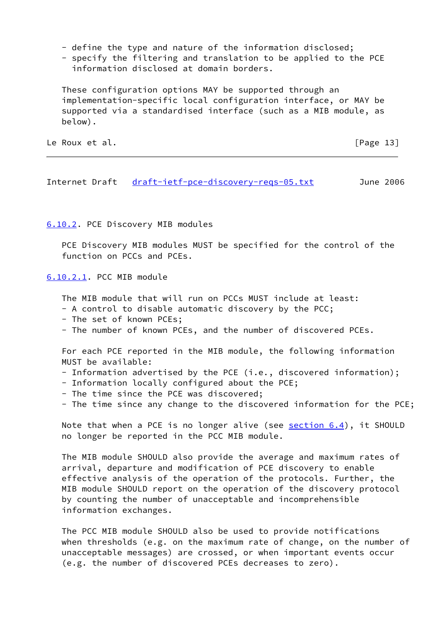- define the type and nature of the information disclosed;
- specify the filtering and translation to be applied to the PCE information disclosed at domain borders.

 These configuration options MAY be supported through an implementation-specific local configuration interface, or MAY be supported via a standardised interface (such as a MIB module, as below).

Le Roux et al. **Example 20** and the contract of the contract of  $\lceil \text{Page 13} \rceil$ 

<span id="page-15-1"></span>Internet Draft [draft-ietf-pce-discovery-reqs-05.txt](https://datatracker.ietf.org/doc/pdf/draft-ietf-pce-discovery-reqs-05.txt) June 2006

<span id="page-15-0"></span>[6.10.2](#page-15-0). PCE Discovery MIB modules

 PCE Discovery MIB modules MUST be specified for the control of the function on PCCs and PCEs.

<span id="page-15-2"></span>[6.10.2.1](#page-15-2). PCC MIB module

The MIB module that will run on PCCs MUST include at least:

- A control to disable automatic discovery by the PCC;
- The set of known PCEs;
- The number of known PCEs, and the number of discovered PCEs.

 For each PCE reported in the MIB module, the following information MUST be available:

- Information advertised by the PCE (i.e., discovered information);
- Information locally configured about the PCE;
- The time since the PCE was discovered;
- The time since any change to the discovered information for the PCE;

Note that when a PCE is no longer alive (see [section 6.4](#page-12-0)), it SHOULD no longer be reported in the PCC MIB module.

 The MIB module SHOULD also provide the average and maximum rates of arrival, departure and modification of PCE discovery to enable effective analysis of the operation of the protocols. Further, the MIB module SHOULD report on the operation of the discovery protocol by counting the number of unacceptable and incomprehensible information exchanges.

 The PCC MIB module SHOULD also be used to provide notifications when thresholds (e.g. on the maximum rate of change, on the number of unacceptable messages) are crossed, or when important events occur (e.g. the number of discovered PCEs decreases to zero).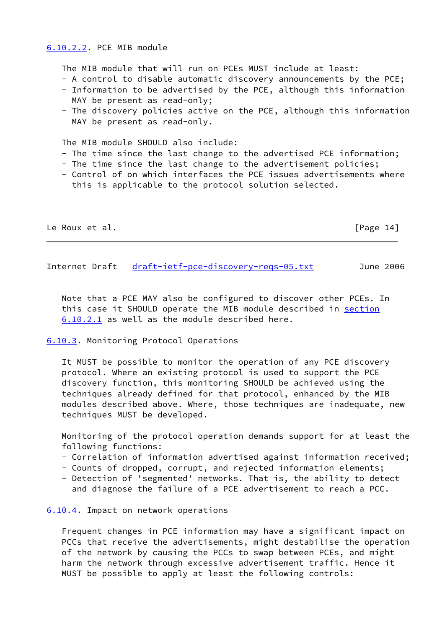## <span id="page-16-0"></span>[6.10.2.2](#page-16-0). PCE MIB module

The MIB module that will run on PCEs MUST include at least:

- A control to disable automatic discovery announcements by the PCE;
- Information to be advertised by the PCE, although this information MAY be present as read-only;
- The discovery policies active on the PCE, although this information MAY be present as read-only.

The MTB module SHOULD also include:

- The time since the last change to the advertised PCE information;
- The time since the last change to the advertisement policies;
- Control of on which interfaces the PCE issues advertisements where this is applicable to the protocol solution selected.

| Le Roux et al. | [Page 14] |
|----------------|-----------|
|----------------|-----------|

<span id="page-16-2"></span>Internet Draft [draft-ietf-pce-discovery-reqs-05.txt](https://datatracker.ietf.org/doc/pdf/draft-ietf-pce-discovery-reqs-05.txt) June 2006

 Note that a PCE MAY also be configured to discover other PCEs. In this case it SHOULD operate the MIB module described in [section](#page-15-2) [6.10.2.1](#page-15-2) as well as the module described here.

<span id="page-16-1"></span>[6.10.3](#page-16-1). Monitoring Protocol Operations

 It MUST be possible to monitor the operation of any PCE discovery protocol. Where an existing protocol is used to support the PCE discovery function, this monitoring SHOULD be achieved using the techniques already defined for that protocol, enhanced by the MIB modules described above. Where, those techniques are inadequate, new techniques MUST be developed.

 Monitoring of the protocol operation demands support for at least the following functions:

- Correlation of information advertised against information received;
- Counts of dropped, corrupt, and rejected information elements;
- Detection of 'segmented' networks. That is, the ability to detect and diagnose the failure of a PCE advertisement to reach a PCC.

<span id="page-16-3"></span>[6.10.4](#page-16-3). Impact on network operations

 Frequent changes in PCE information may have a significant impact on PCCs that receive the advertisements, might destabilise the operation of the network by causing the PCCs to swap between PCEs, and might harm the network through excessive advertisement traffic. Hence it MUST be possible to apply at least the following controls: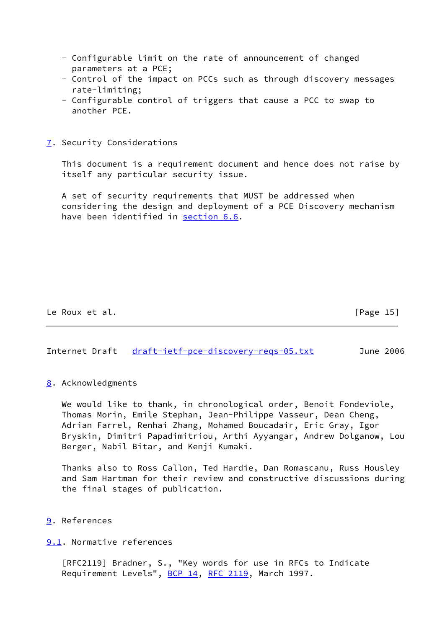- Configurable limit on the rate of announcement of changed parameters at a PCE;
- Control of the impact on PCCs such as through discovery messages rate-limiting;
- Configurable control of triggers that cause a PCC to swap to another PCE.

<span id="page-17-0"></span>[7](#page-17-0). Security Considerations

 This document is a requirement document and hence does not raise by itself any particular security issue.

 A set of security requirements that MUST be addressed when considering the design and deployment of a PCE Discovery mechanism have been identified in [section 6.6](#page-12-2).

Le Roux et al. **Example 2018** [Page 15]

<span id="page-17-2"></span>Internet Draft [draft-ietf-pce-discovery-reqs-05.txt](https://datatracker.ietf.org/doc/pdf/draft-ietf-pce-discovery-reqs-05.txt) June 2006

#### <span id="page-17-1"></span>[8](#page-17-1). Acknowledgments

 We would like to thank, in chronological order, Benoit Fondeviole, Thomas Morin, Emile Stephan, Jean-Philippe Vasseur, Dean Cheng, Adrian Farrel, Renhai Zhang, Mohamed Boucadair, Eric Gray, Igor Bryskin, Dimitri Papadimitriou, Arthi Ayyangar, Andrew Dolganow, Lou Berger, Nabil Bitar, and Kenji Kumaki.

 Thanks also to Ross Callon, Ted Hardie, Dan Romascanu, Russ Housley and Sam Hartman for their review and constructive discussions during the final stages of publication.

<span id="page-17-3"></span>[9](#page-17-3). References

<span id="page-17-4"></span>[9.1](#page-17-4). Normative references

 [RFC2119] Bradner, S., "Key words for use in RFCs to Indicate Requirement Levels", [BCP 14](https://datatracker.ietf.org/doc/pdf/bcp14), [RFC 2119](https://datatracker.ietf.org/doc/pdf/rfc2119), March 1997.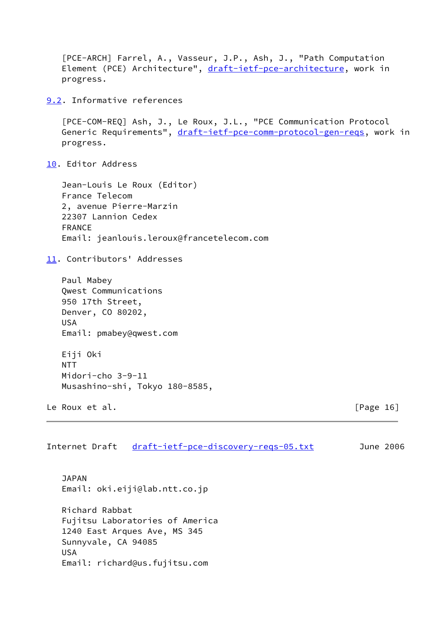```
 [PCE-ARCH] Farrel, A., Vasseur, J.P., Ash, J., "Path Computation
   draft-ietf-pce-architecture, work in
   progress.
9.2. Informative references
   [PCE-COM-REQ] Ash, J., Le Roux, J.L., "PCE Communication Protocol
  draft-ietf-pce-comm-protocol-gen-reqs, work in
   progress.
10. Editor Address
   Jean-Louis Le Roux (Editor)
   France Telecom
   2, avenue Pierre-Marzin
   22307 Lannion Cedex
   FRANCE
   Email: jeanlouis.leroux@francetelecom.com
11. Contributors' Addresses
   Paul Mabey
   Qwest Communications
   950 17th Street,
   Denver, CO 80202,
   USA
   Email: pmabey@qwest.com
   Eiji Oki
  NTT
   Midori-cho 3-9-11
   Musashino-shi, Tokyo 180-8585,
Le Roux et al. [Page 16]
draft-ietf-pce-discovery-reqs-05.txt June 2006
   JAPAN
   Email: oki.eiji@lab.ntt.co.jp
   Richard Rabbat
   Fujitsu Laboratories of America
   1240 East Arques Ave, MS 345
   Sunnyvale, CA 94085
   USA
   Email: richard@us.fujitsu.com
```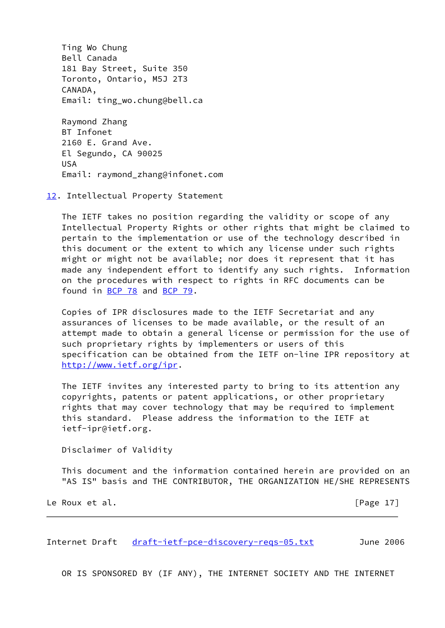Ting Wo Chung Bell Canada 181 Bay Street, Suite 350 Toronto, Ontario, M5J 2T3 CANADA, Email: ting\_wo.chung@bell.ca

 Raymond Zhang BT Infonet 2160 E. Grand Ave. El Segundo, CA 90025 USA Email: raymond\_zhang@infonet.com

<span id="page-19-0"></span>[12.](#page-19-0) Intellectual Property Statement

 The IETF takes no position regarding the validity or scope of any Intellectual Property Rights or other rights that might be claimed to pertain to the implementation or use of the technology described in this document or the extent to which any license under such rights might or might not be available; nor does it represent that it has made any independent effort to identify any such rights. Information on the procedures with respect to rights in RFC documents can be found in [BCP 78](https://datatracker.ietf.org/doc/pdf/bcp78) and [BCP 79](https://datatracker.ietf.org/doc/pdf/bcp79).

 Copies of IPR disclosures made to the IETF Secretariat and any assurances of licenses to be made available, or the result of an attempt made to obtain a general license or permission for the use of such proprietary rights by implementers or users of this specification can be obtained from the IETF on-line IPR repository at <http://www.ietf.org/ipr>.

 The IETF invites any interested party to bring to its attention any copyrights, patents or patent applications, or other proprietary rights that may cover technology that may be required to implement this standard. Please address the information to the IETF at ietf-ipr@ietf.org.

Disclaimer of Validity

 This document and the information contained herein are provided on an "AS IS" basis and THE CONTRIBUTOR, THE ORGANIZATION HE/SHE REPRESENTS

Le Roux et al. [Page 17]

Internet Draft draft-ietf-pce-discovery-regs-05.txt June 2006

OR IS SPONSORED BY (IF ANY), THE INTERNET SOCIETY AND THE INTERNET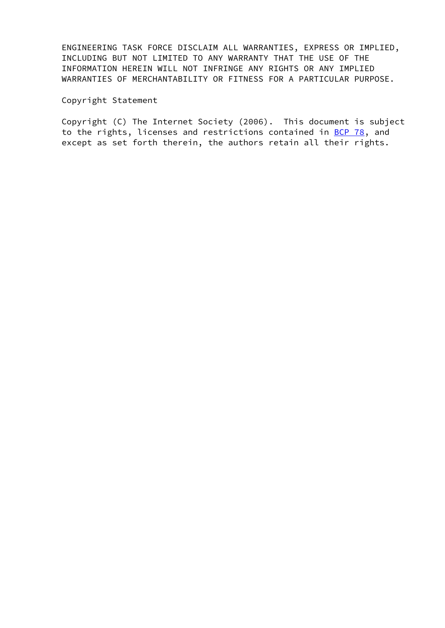ENGINEERING TASK FORCE DISCLAIM ALL WARRANTIES, EXPRESS OR IMPLIED, INCLUDING BUT NOT LIMITED TO ANY WARRANTY THAT THE USE OF THE INFORMATION HEREIN WILL NOT INFRINGE ANY RIGHTS OR ANY IMPLIED WARRANTIES OF MERCHANTABILITY OR FITNESS FOR A PARTICULAR PURPOSE.

## Copyright Statement

 Copyright (C) The Internet Society (2006). This document is subject to the rights, licenses and restrictions contained in [BCP 78](https://datatracker.ietf.org/doc/pdf/bcp78), and except as set forth therein, the authors retain all their rights.